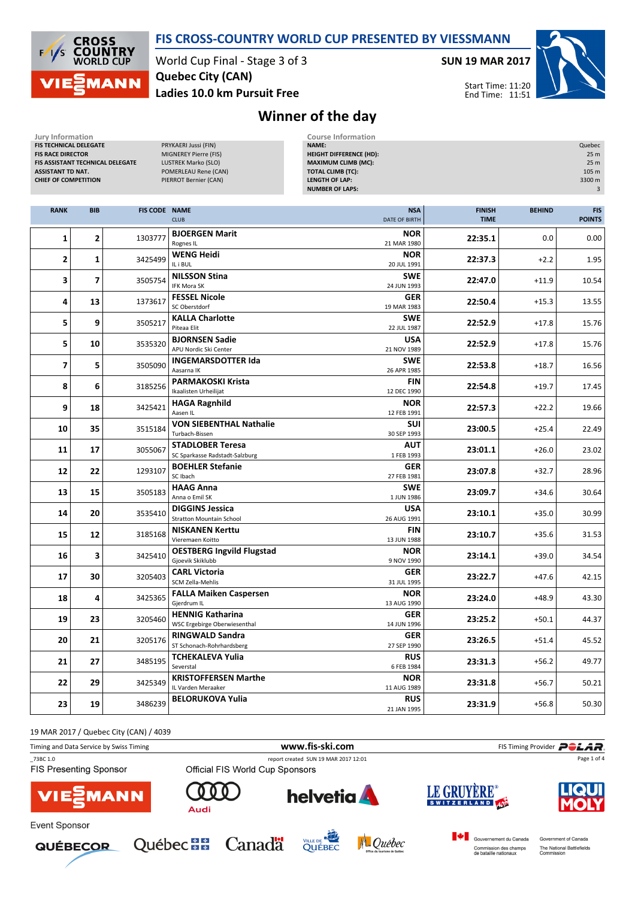

## FIS CROSS-COUNTRY WORLD CUP PRESENTED BY VIESSMANN

World Cup Final - Stage 3 of 3 Ladies 10.0 km Pursuit Free Quebec City (CAN)

SUN 19 MAR 2017

Start Time: 11:20 End Time: 11:51



## Winner of the day

| Jury Information<br>FIS TECHNICAL DELEGATE<br><b>FIS RACE DIRECTOR</b><br>FIS ASSISTANT TECHNICAL DELEGATE<br><b>ASSISTANT TD NAT.</b><br><b>CHIEF OF COMPETITION</b> |              |                      | PRYKAERI Jussi (FIN)<br>MIGNEREY Pierre (FIS)<br>LUSTREK Marko (SLO)<br>POMERLEAU Rene (CAN)<br>PIERROT Bernier (CAN) | <b>Course Information</b><br><b>NAME:</b><br><b>HEIGHT DIFFERENCE (HD):</b><br><b>MAXIMUM CLIMB (MC):</b><br><b>TOTAL CLIMB (TC):</b><br><b>LENGTH OF LAP:</b><br><b>NUMBER OF LAPS:</b> |                              |               | Quebec<br>25 m<br>25 m<br>105 m<br>3300 m<br>3 |
|-----------------------------------------------------------------------------------------------------------------------------------------------------------------------|--------------|----------------------|-----------------------------------------------------------------------------------------------------------------------|------------------------------------------------------------------------------------------------------------------------------------------------------------------------------------------|------------------------------|---------------|------------------------------------------------|
| <b>RANK</b>                                                                                                                                                           | <b>BIB</b>   | <b>FIS CODE NAME</b> | <b>CLUB</b>                                                                                                           | <b>NSA</b><br>DATE OF BIRTH                                                                                                                                                              | <b>FINISH</b><br><b>TIME</b> | <b>BEHIND</b> | <b>FIS</b><br><b>POINTS</b>                    |
| 1                                                                                                                                                                     | 2            | 1303777              | <b>BJOERGEN Marit</b><br>Rognes IL                                                                                    | <b>NOR</b><br>21 MAR 1980                                                                                                                                                                | 22:35.1                      | 0.0           | 0.00                                           |
| 2                                                                                                                                                                     | $\mathbf{1}$ | 3425499              | <b>WENG Heidi</b><br>IL i BUL                                                                                         | <b>NOR</b><br>20 JUL 1991                                                                                                                                                                | 22:37.3                      | $+2.2$        | 1.95                                           |
| 3                                                                                                                                                                     | 7            | 3505754              | <b>NILSSON Stina</b><br><b>IFK Mora SK</b>                                                                            | <b>SWE</b><br>24 JUN 1993                                                                                                                                                                | 22:47.0                      | $+11.9$       | 10.54                                          |
| 4                                                                                                                                                                     | 13           | 1373617              | <b>FESSEL Nicole</b><br>SC Oberstdorf                                                                                 | <b>GER</b><br>19 MAR 1983                                                                                                                                                                | 22:50.4                      | $+15.3$       | 13.55                                          |
| 5                                                                                                                                                                     | 9            | 3505217              | <b>KALLA Charlotte</b><br>Piteaa Elit                                                                                 | <b>SWE</b><br>22 JUL 1987                                                                                                                                                                | 22:52.9                      | $+17.8$       | 15.76                                          |
| 5                                                                                                                                                                     | 10           | 3535320              | <b>BJORNSEN Sadie</b><br>APU Nordic Ski Center                                                                        | USA<br>21 NOV 1989                                                                                                                                                                       | 22:52.9                      | $+17.8$       | 15.76                                          |
| $\overline{ }$                                                                                                                                                        | 5            | 3505090              | <b>INGEMARSDOTTER Ida</b><br>Aasarna IK                                                                               | <b>SWE</b><br>26 APR 1985                                                                                                                                                                | 22:53.8                      | $+18.7$       | 16.56                                          |
| 8                                                                                                                                                                     | 6            | 3185256              | <b>PARMAKOSKI Krista</b><br>Ikaalisten Urheilijat                                                                     | <b>FIN</b><br>12 DEC 1990                                                                                                                                                                | 22:54.8                      | $+19.7$       | 17.45                                          |
| 9                                                                                                                                                                     | 18           | 3425421              | <b>HAGA Ragnhild</b><br>Aasen IL                                                                                      | <b>NOR</b><br>12 FEB 1991                                                                                                                                                                | 22:57.3                      | $+22.2$       | 19.66                                          |
| 10                                                                                                                                                                    | 35           | 3515184              | <b>VON SIEBENTHAL Nathalie</b><br>Turbach-Bissen                                                                      | <b>SUI</b><br>30 SEP 1993                                                                                                                                                                | 23:00.5                      | $+25.4$       | 22.49                                          |
| 11                                                                                                                                                                    | 17           | 3055067              | <b>STADLOBER Teresa</b><br>SC Sparkasse Radstadt-Salzburg                                                             | AUT<br>1 FEB 1993                                                                                                                                                                        | 23:01.1                      | $+26.0$       | 23.02                                          |
| 12                                                                                                                                                                    | 22           | 1293107              | <b>BOEHLER Stefanie</b><br>SC Ibach                                                                                   | <b>GER</b><br>27 FEB 1981                                                                                                                                                                | 23:07.8                      | $+32.7$       | 28.96                                          |
| 13                                                                                                                                                                    | 15           | 3505183              | <b>HAAG Anna</b><br>Anna o Emil SK                                                                                    | <b>SWE</b><br>1 JUN 1986                                                                                                                                                                 | 23:09.7                      | $+34.6$       | 30.64                                          |
| 14                                                                                                                                                                    | 20           | 3535410              | <b>DIGGINS Jessica</b><br><b>Stratton Mountain School</b>                                                             | <b>USA</b><br>26 AUG 1991                                                                                                                                                                | 23:10.1                      | $+35.0$       | 30.99                                          |
| 15                                                                                                                                                                    | 12           | 3185168              | <b>NISKANEN Kerttu</b><br>Vieremaen Koitto                                                                            | <b>FIN</b><br>13 JUN 1988                                                                                                                                                                | 23:10.7                      | $+35.6$       | 31.53                                          |
| 16                                                                                                                                                                    | 3            | 3425410              | <b>OESTBERG Ingvild Flugstad</b><br>Gjoevik Skiklubb                                                                  | <b>NOR</b><br>9 NOV 1990                                                                                                                                                                 | 23:14.1                      | $+39.0$       | 34.54                                          |
| 17                                                                                                                                                                    | 30           | 3205403              | <b>CARL Victoria</b><br>SCM Zella-Mehlis                                                                              | <b>GER</b><br>31 JUL 1995                                                                                                                                                                | 23:22.7                      | $+47.6$       | 42.15                                          |
| 18                                                                                                                                                                    | 4            | 3425365              | <b>FALLA Maiken Caspersen</b><br>Gjerdrum IL                                                                          | <b>NOR</b><br>13 AUG 1990                                                                                                                                                                | 23:24.0                      | $+48.9$       | 43.30                                          |
| 19                                                                                                                                                                    | 23           | 3205460              | <b>HENNIG Katharina</b><br>WSC Ergebirge Oberwiesenthal                                                               | <b>GER</b><br>14 JUN 1996                                                                                                                                                                | 23:25.2                      | $+50.1$       | 44.37                                          |
| 20                                                                                                                                                                    | 21           | 3205176              | <b>RINGWALD Sandra</b><br>ST Schonach-Rohrhardsberg                                                                   | <b>GER</b><br>27 SEP 1990                                                                                                                                                                | 23:26.5                      | $+51.4$       | 45.52                                          |
| 21                                                                                                                                                                    | 27           | 3485195              | TCHEKALEVA Yulia<br>Severstal                                                                                         | <b>RUS</b><br>6 FEB 1984                                                                                                                                                                 | 23:31.3                      | $+56.2$       | 49.77                                          |
| 22                                                                                                                                                                    | 29           | 3425349              | <b>KRISTOFFERSEN Marthe</b><br>IL Varden Meraaker                                                                     | <b>NOR</b><br>11 AUG 1989                                                                                                                                                                | 23:31.8                      | $+56.7$       | 50.21                                          |
| 23                                                                                                                                                                    | 19           | 3486239              | <b>BELORUKOVA Yulia</b>                                                                                               | <b>RUS</b><br>21 JAN 1995                                                                                                                                                                | 23:31.9                      | $+56.8$       | 50.30                                          |

19 MAR 2017 / Quebec City (CAN) / 4039

| Timing and Data Service by Swiss Timing   |                                                                         | www.fis-ski.com |             | FIS Timing Provider <b>POLAR</b> |  |
|-------------------------------------------|-------------------------------------------------------------------------|-----------------|-------------|----------------------------------|--|
| 73BC 1.0<br><b>FIS Presenting Sponsor</b> | report created SUN 19 MAR 2017 12:01<br>Official FIS World Cup Sponsors |                 |             | Page 1 of 4                      |  |
| <b>VIE EMANN</b>                          | 000<br>Audi                                                             | <b>helvetia</b> | LE GRUYÈRE® | <b>LIQUI</b>                     |  |











Gouvernement du Canada Commission des champs<br>de bataille nationaux

Government of Canada The National Battlefields<br>Commission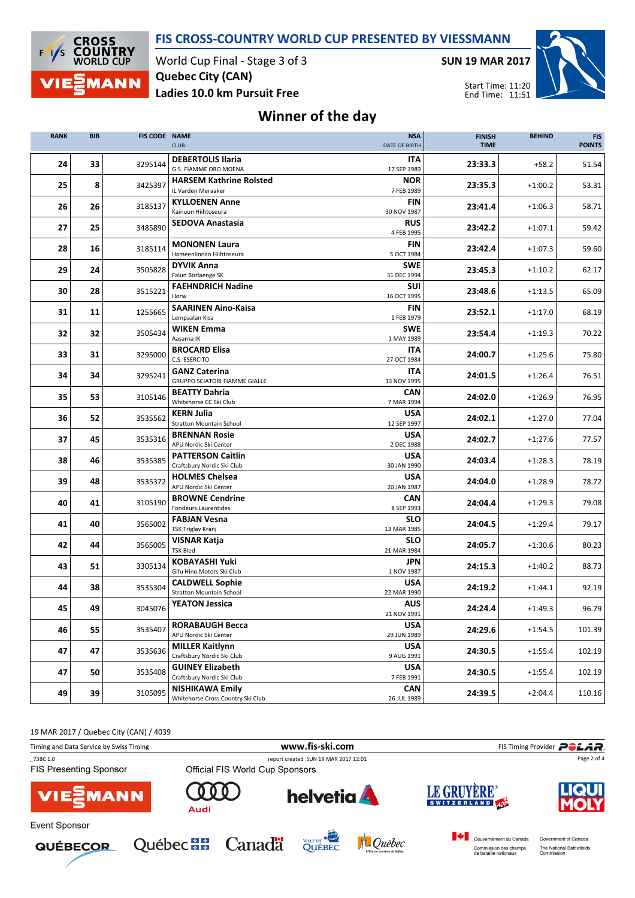



World Cup Final - Stage 3 of 3 Ladies 10.0 km Pursuit Free Quebec City (CAN)

SUN 19 MAR 2017



## Winner of the day

| <b>RANK</b> | <b>BIB</b> | <b>FIS CODE NAME</b> | <b>CLUB</b>                                                  | <b>NSA</b><br>DATE OF BIRTH | <b>FINISH</b><br><b>TIME</b> | <b>BEHIND</b> | <b>FIS</b><br><b>POINTS</b> |
|-------------|------------|----------------------|--------------------------------------------------------------|-----------------------------|------------------------------|---------------|-----------------------------|
| 24          | 33         | 3295144              | <b>DEBERTOLIS Ilaria</b><br><b>G.S. FIAMME ORO MOENA</b>     | <b>ITA</b><br>17 SEP 1989   | 23:33.3                      | $+58.2$       | 51.54                       |
| 25          | 8          | 3425397              | <b>HARSEM Kathrine Rolsted</b><br>IL Varden Meraaker         | <b>NOR</b><br>7 FEB 1989    | 23:35.3                      | $+1:00.2$     | 53.31                       |
| 26          | 26         | 3185137              | <b>KYLLOENEN Anne</b><br>Kainuun Hiihtoseura                 | <b>FIN</b><br>30 NOV 1987   | 23:41.4                      | $+1:06.3$     | 58.71                       |
| 27          | 25         | 3485890              | <b>SEDOVA Anastasia</b>                                      | <b>RUS</b><br>4 FEB 1995    | 23:42.2                      | $+1:07.1$     | 59.42                       |
| 28          | 16         | 3185114              | <b>MONONEN Laura</b><br>Hameenlinnan Hiihtoseura             | <b>FIN</b><br>5 OCT 1984    | 23:42.4                      | $+1:07.3$     | 59.60                       |
| 29          | 24         | 3505828              | <b>DYVIK Anna</b><br>Falun Borlaenge SK                      | <b>SWE</b><br>31 DEC 1994   | 23:45.3                      | $+1:10.2$     | 62.17                       |
| 30          | 28         | 3515221              | <b>FAEHNDRICH Nadine</b><br>Horw                             | <b>SUI</b><br>16 OCT 1995   | 23:48.6                      | $+1:13.5$     | 65.09                       |
| 31          | 11         | 1255665              | <b>SAARINEN Aino-Kaisa</b><br>Lempaalan Kisa                 | <b>FIN</b><br>1 FEB 1979    | 23:52.1                      | $+1:17.0$     | 68.19                       |
| 32          | 32         | 3505434              | <b>WIKEN Emma</b><br>Aasarna IK                              | <b>SWE</b><br>1 MAY 1989    | 23:54.4                      | $+1:19.3$     | 70.22                       |
| 33          | 31         | 3295000              | <b>BROCARD Elisa</b><br>C.S. ESERCITO                        | <b>ITA</b><br>27 OCT 1984   | 24:00.7                      | $+1:25.6$     | 75.80                       |
| 34          | 34         | 3295241              | <b>GANZ Caterina</b><br><b>GRUPPO SCIATORI FIAMME GIALLE</b> | <b>ITA</b><br>13 NOV 1995   | 24:01.5                      | $+1:26.4$     | 76.51                       |
| 35          | 53         | 3105146              | <b>BEATTY Dahria</b><br>Whitehorse CC Ski Club               | <b>CAN</b><br>7 MAR 1994    | 24:02.0                      | $+1:26.9$     | 76.95                       |
| 36          | 52         | 3535562              | <b>KERN Julia</b><br><b>Stratton Mountain School</b>         | <b>USA</b><br>12 SEP 1997   | 24:02.1                      | $+1:27.0$     | 77.04                       |
| 37          | 45         | 3535316              | <b>BRENNAN Rosie</b><br>APU Nordic Ski Center                | <b>USA</b><br>2 DEC 1988    | 24:02.7                      | $+1:27.6$     | 77.57                       |
| 38          | 46         | 3535385              | <b>PATTERSON Caitlin</b><br>Craftsbury Nordic Ski Club       | <b>USA</b><br>30 JAN 1990   | 24:03.4                      | $+1:28.3$     | 78.19                       |
| 39          | 48         | 3535372              | <b>HOLMES Chelsea</b><br>APU Nordic Ski Center               | <b>USA</b><br>20 JAN 1987   | 24:04.0                      | $+1:28.9$     | 78.72                       |
| 40          | 41         | 3105190              | <b>BROWNE Cendrine</b><br><b>Fondeurs Laurentides</b>        | CAN<br>8 SEP 1993           | 24:04.4                      | $+1:29.3$     | 79.08                       |
| 41          | 40         | 3565002              | <b>FABJAN Vesna</b><br>TSK Triglav Kranj                     | SLO<br>13 MAR 1985          | 24:04.5                      | $+1:29.4$     | 79.17                       |
| 42          | 44         | 3565005              | VISNAR Katja<br><b>TSK Bled</b>                              | <b>SLO</b><br>21 MAR 1984   | 24:05.7                      | $+1:30.6$     | 80.23                       |
| 43          | 51         | 3305134              | <b>KOBAYASHI Yuki</b><br>Gifu Hino Motors Ski Club           | <b>JPN</b><br>1 NOV 1987    | 24:15.3                      | $+1:40.2$     | 88.73                       |
| 44          | 38         | 3535304              | <b>CALDWELL Sophie</b><br><b>Stratton Mountain School</b>    | <b>USA</b><br>22 MAR 1990   | 24:19.2                      | $+1:44.1$     | 92.19                       |
| 45          | 49         | 3045076              | <b>YEATON Jessica</b>                                        | <b>AUS</b><br>21 NOV 1991   | 24:24.4                      | $+1:49.3$     | 96.79                       |
| 46          | 55         | 3535407              | <b>RORABAUGH Becca</b><br>APU Nordic Ski Center              | <b>USA</b><br>29 JUN 1989   | 24:29.6                      | $+1:54.5$     | 101.39                      |
| 47          | 47         | 3535636              | <b>MILLER Kaitlynn</b><br>Craftsbury Nordic Ski Club         | <b>USA</b><br>9 AUG 1991    | 24:30.5                      | $+1:55.4$     | 102.19                      |
| 47          | 50         | 3535408              | <b>GUINEY Elizabeth</b><br>Craftsbury Nordic Ski Club        | <b>USA</b><br>7 FEB 1991    | 24:30.5                      | $+1:55.4$     | 102.19                      |
| 49          | 39         | 3105095              | <b>NISHIKAWA Emily</b><br>Whitehorse Cross Country Ski Club  | <b>CAN</b><br>26 JUL 1989   | 24:39.5                      | $+2:04.4$     | 110.16                      |





**Québec ##** 





Gouvernement du Canada

Commission des champs<br>de bataille nationaux

Government of Canada

The National Battlefields<br>Commission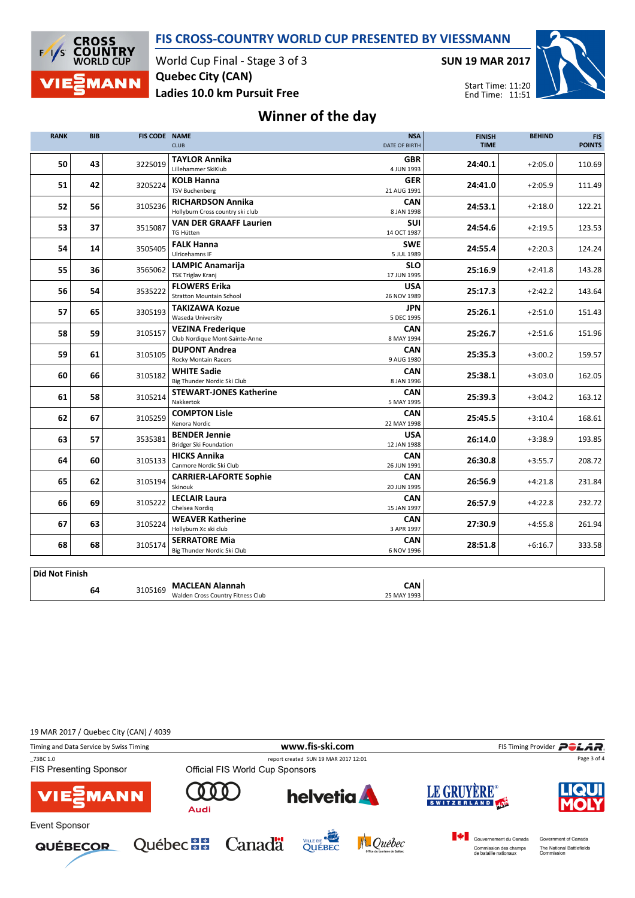



World Cup Final - Stage 3 of 3 Ladies 10.0 km Pursuit Free Quebec City (CAN)

SUN 19 MAR 2017



## Winner of the day

| <b>RANK</b>           | <b>BIB</b> | <b>FIS CODE NAME</b> | <b>CLUB</b>                                                  | <b>NSA</b><br><b>DATE OF BIRTH</b> | <b>FINISH</b><br><b>TIME</b> | <b>BEHIND</b> | <b>FIS</b><br><b>POINTS</b> |
|-----------------------|------------|----------------------|--------------------------------------------------------------|------------------------------------|------------------------------|---------------|-----------------------------|
| 50                    | 43         | 3225019              | <b>TAYLOR Annika</b><br>Lillehammer SkiKlub                  | <b>GBR</b><br>4 JUN 1993           | 24:40.1                      | $+2:05.0$     | 110.69                      |
| 51                    | 42         | 3205224              | <b>KOLB Hanna</b><br><b>TSV Buchenberg</b>                   | <b>GER</b><br>21 AUG 1991          | 24:41.0                      | $+2:05.9$     | 111.49                      |
| 52                    | 56         | 3105236              | <b>RICHARDSON Annika</b><br>Hollyburn Cross country ski club | <b>CAN</b><br>8 JAN 1998           | 24:53.1                      | $+2:18.0$     | 122.21                      |
| 53                    | 37         | 3515087              | <b>VAN DER GRAAFF Laurien</b><br><b>TG Hütten</b>            | <b>SUI</b><br>14 OCT 1987          | 24:54.6                      | $+2:19.5$     | 123.53                      |
| 54                    | 14         | 3505405              | <b>FALK Hanna</b><br>Ulricehamns IF                          | <b>SWE</b><br>5 JUL 1989           | 24:55.4                      | $+2:20.3$     | 124.24                      |
| 55                    | 36         | 3565062              | <b>LAMPIC Anamarija</b><br><b>TSK Triglav Kranj</b>          | <b>SLO</b><br>17 JUN 1995          | 25:16.9                      | $+2:41.8$     | 143.28                      |
| 56                    | 54         | 3535222              | <b>FLOWERS Erika</b><br><b>Stratton Mountain School</b>      | <b>USA</b><br>26 NOV 1989          | 25:17.3                      | $+2:42.2$     | 143.64                      |
| 57                    | 65         | 3305193              | <b>TAKIZAWA Kozue</b><br><b>Waseda University</b>            | <b>JPN</b><br>5 DEC 1995           | 25:26.1                      | $+2:51.0$     | 151.43                      |
| 58                    | 59         | 3105157              | <b>VEZINA Frederique</b><br>Club Nordique Mont-Sainte-Anne   | <b>CAN</b><br>8 MAY 1994           | 25:26.7                      | $+2:51.6$     | 151.96                      |
| 59                    | 61         | 3105105              | <b>DUPONT Andrea</b><br><b>Rocky Montain Racers</b>          | <b>CAN</b><br>9 AUG 1980           | 25:35.3                      | $+3:00.2$     | 159.57                      |
| 60                    | 66         | 3105182              | <b>WHITE Sadie</b><br>Big Thunder Nordic Ski Club            | <b>CAN</b><br>8 JAN 1996           | 25:38.1                      | $+3:03.0$     | 162.05                      |
| 61                    | 58         | 3105214              | <b>STEWART-JONES Katherine</b><br>Nakkertok                  | <b>CAN</b><br>5 MAY 1995           | 25:39.3                      | $+3:04.2$     | 163.12                      |
| 62                    | 67         | 3105259              | <b>COMPTON Lisle</b><br>Kenora Nordic                        | <b>CAN</b><br>22 MAY 1998          | 25:45.5                      | $+3:10.4$     | 168.61                      |
| 63                    | 57         | 3535381              | <b>BENDER Jennie</b><br><b>Bridger Ski Foundation</b>        | <b>USA</b><br>12 JAN 1988          | 26:14.0                      | $+3:38.9$     | 193.85                      |
| 64                    | 60         | 3105133              | <b>HICKS Annika</b><br>Canmore Nordic Ski Club               | CAN<br>26 JUN 1991                 | 26:30.8                      | $+3:55.7$     | 208.72                      |
| 65                    | 62         | 3105194              | <b>CARRIER-LAFORTE Sophie</b><br>Skinouk                     | <b>CAN</b><br>20 JUN 1995          | 26:56.9                      | $+4:21.8$     | 231.84                      |
| 66                    | 69         | 3105222              | <b>LECLAIR Laura</b><br>Chelsea Nordig                       | <b>CAN</b><br>15 JAN 1997          | 26:57.9                      | $+4:22.8$     | 232.72                      |
| 67                    | 63         | 3105224              | <b>WEAVER Katherine</b><br>Hollyburn Xc ski club             | <b>CAN</b><br>3 APR 1997           | 27:30.9                      | $+4:55.8$     | 261.94                      |
| 68                    | 68         | 3105174              | <b>SERRATORE Mia</b><br>Big Thunder Nordic Ski Club          | CAN<br>6 NOV 1996                  | 28:51.8                      | $+6:16.7$     | 333.58                      |
| <b>Did Not Finish</b> |            |                      |                                                              |                                    |                              |               |                             |

| 1914 IVVL 1 1111311 | <b>MACLEAN</b><br>Alannah                    | CAN         |  |
|---------------------|----------------------------------------------|-------------|--|
| 64                  | 3105169<br>Walden Cross Country Fitness Club | 25 MAY 1993 |  |

19 MAR 2017 / Quebec City (CAN) / 4039